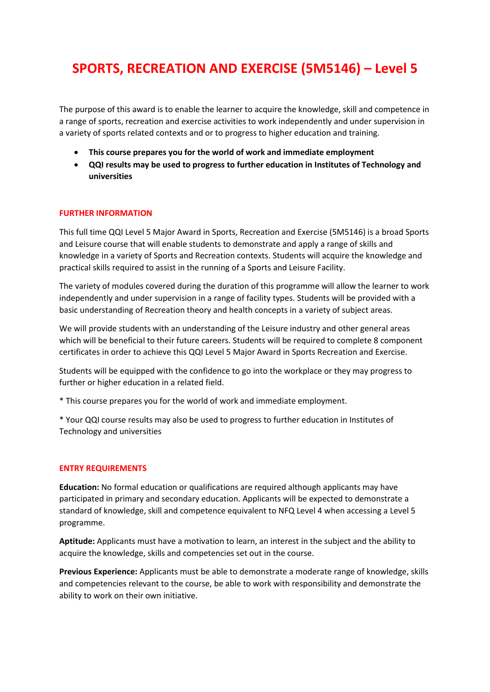## **SPORTS, RECREATION AND EXERCISE (5M5146) – Level 5**

The purpose of this award is to enable the learner to acquire the knowledge, skill and competence in a range of sports, recreation and exercise activities to work independently and under supervision in a variety of sports related contexts and or to progress to higher education and training.

- **This course prepares you for the world of work and immediate employment**
- **QQI results may be used to progress to further education in Institutes of Technology and universities**

## **FURTHER INFORMATION**

This full time QQI Level 5 Major Award in Sports, Recreation and Exercise (5M5146) is a broad Sports and Leisure course that will enable students to demonstrate and apply a range of skills and knowledge in a variety of Sports and Recreation contexts. Students will acquire the knowledge and practical skills required to assist in the running of a Sports and Leisure Facility.

The variety of modules covered during the duration of this programme will allow the learner to work independently and under supervision in a range of facility types. Students will be provided with a basic understanding of Recreation theory and health concepts in a variety of subject areas.

We will provide students with an understanding of the Leisure industry and other general areas which will be beneficial to their future careers. Students will be required to complete 8 component certificates in order to achieve this QQI Level 5 Major Award in Sports Recreation and Exercise.

Students will be equipped with the confidence to go into the workplace or they may progress to further or higher education in a related field.

\* This course prepares you for the world of work and immediate employment.

\* Your QQI course results may also be used to progress to further education in Institutes of Technology and universities

## **ENTRY REQUIREMENTS**

**Education:** No formal education or qualifications are required although applicants may have participated in primary and secondary education. Applicants will be expected to demonstrate a standard of knowledge, skill and competence equivalent to NFQ Level 4 when accessing a Level 5 programme.

**Aptitude:** Applicants must have a motivation to learn, an interest in the subject and the ability to acquire the knowledge, skills and competencies set out in the course.

**Previous Experience:** Applicants must be able to demonstrate a moderate range of knowledge, skills and competencies relevant to the course, be able to work with responsibility and demonstrate the ability to work on their own initiative.